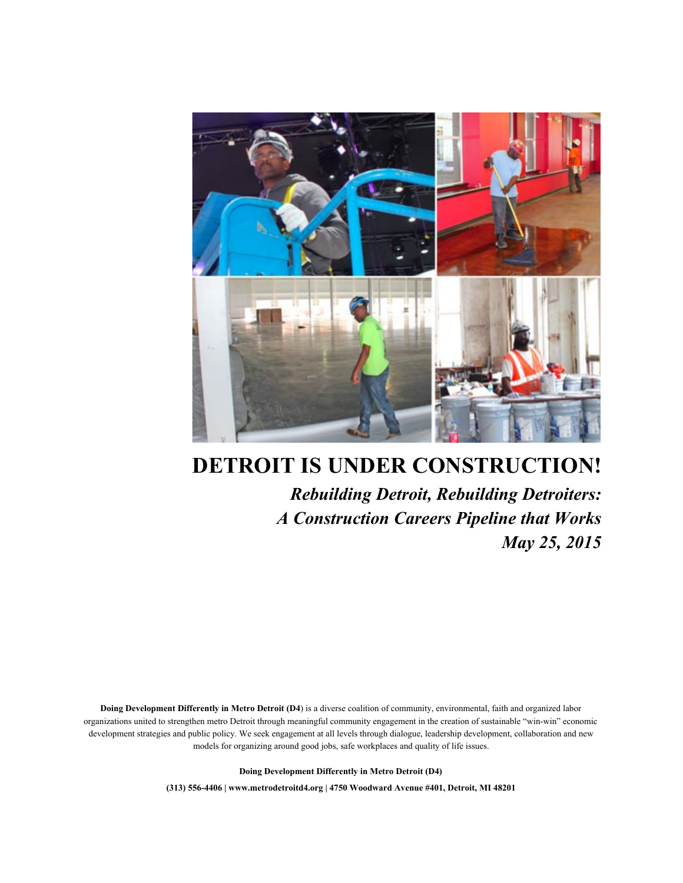

# **DETROIT IS UNDER CONSTRUCTION!**

*Rebuilding Detroit, Rebuilding Detroiters: A Construction Careers Pipeline that Works May 25, 2015*

**Doing Development Differently in Metro Detroit (D4**) is a diverse coalition of community, environmental, faith and organized labor organizations united to strengthen metro Detroit through meaningful community engagement in the creation of sustainable "win-win" economic development strategies and public policy. We seek engagement at all levels through dialogue, leadership development, collaboration and new models for organizing around good jobs, safe workplaces and quality of life issues.

**Doing Development Differently in Metro Detroit (D4)**

**(313) 5564406 | www.metrodetroitd4.org | 4750 Woodward Avenue #401, Detroit, MI 48201**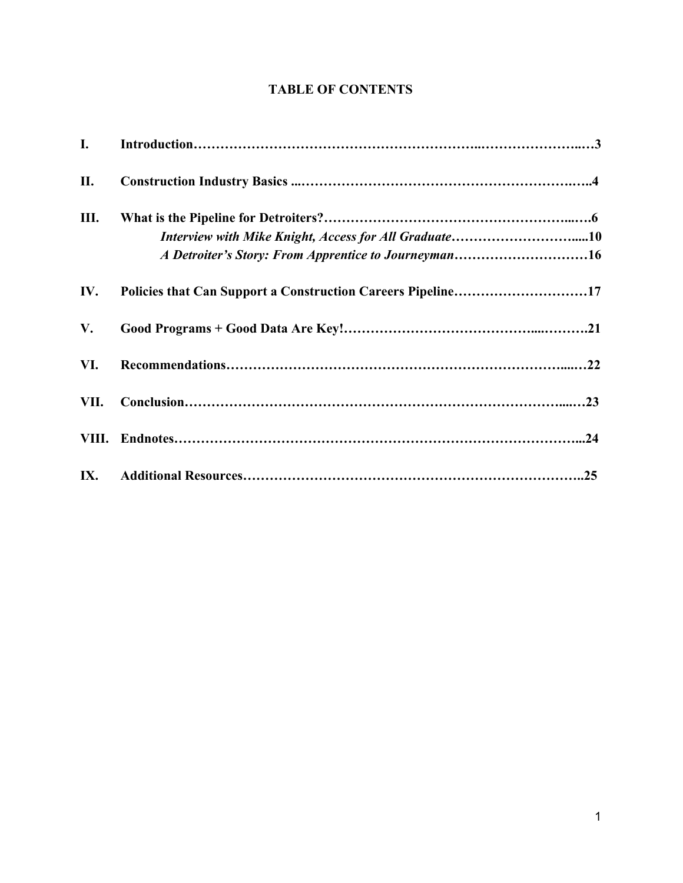## **TABLE OF CONTENTS**

| I.   |                                                                                                               |
|------|---------------------------------------------------------------------------------------------------------------|
| П.   |                                                                                                               |
| Ш.   | Interview with Mike Knight, Access for All Graduate10<br>A Detroiter's Story: From Apprentice to Journeyman16 |
| IV.  | Policies that Can Support a Construction Careers Pipeline17                                                   |
| V.   |                                                                                                               |
| VI.  |                                                                                                               |
| VII. |                                                                                                               |
|      |                                                                                                               |
| IX.  |                                                                                                               |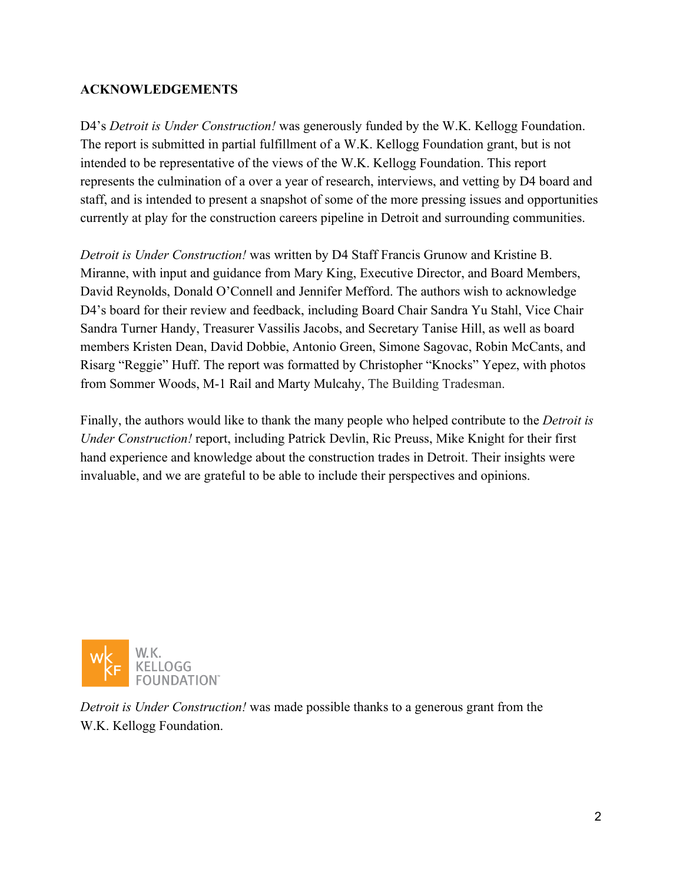## **ACKNOWLEDGEMENTS**

D4's *Detroit is Under Construction!* was generously funded by the W.K. Kellogg Foundation. The report is submitted in partial fulfillment of a W.K. Kellogg Foundation grant, but is not intended to be representative of the views of the W.K. Kellogg Foundation. This report represents the culmination of a over a year of research, interviews, and vetting by D4 board and staff, and is intended to present a snapshot of some of the more pressing issues and opportunities currently at play for the construction careers pipeline in Detroit and surrounding communities.

*Detroit is Under Construction!* was written by D4 Staff Francis Grunow and Kristine B. Miranne, with input and guidance from Mary King, Executive Director, and Board Members, David Reynolds, Donald O'Connell and Jennifer Mefford. The authors wish to acknowledge D4's board for their review and feedback, including Board Chair Sandra Yu Stahl, Vice Chair Sandra Turner Handy, Treasurer Vassilis Jacobs, and Secretary Tanise Hill, as well as board members Kristen Dean, David Dobbie, Antonio Green, Simone Sagovac, Robin McCants, and Risarg "Reggie" Huff. The report was formatted by Christopher "Knocks" Yepez, with photos from Sommer Woods, M-1 Rail and Marty Mulcahy, The Building Tradesman.

Finally, the authors would like to thank the many people who helped contribute to the *Detroit is Under Construction!* report, including Patrick Devlin, Ric Preuss, Mike Knight for their first hand experience and knowledge about the construction trades in Detroit. Their insights were invaluable, and we are grateful to be able to include their perspectives and opinions.



*Detroit is Under Construction!* was made possible thanks to a generous grant from the W.K. Kellogg Foundation.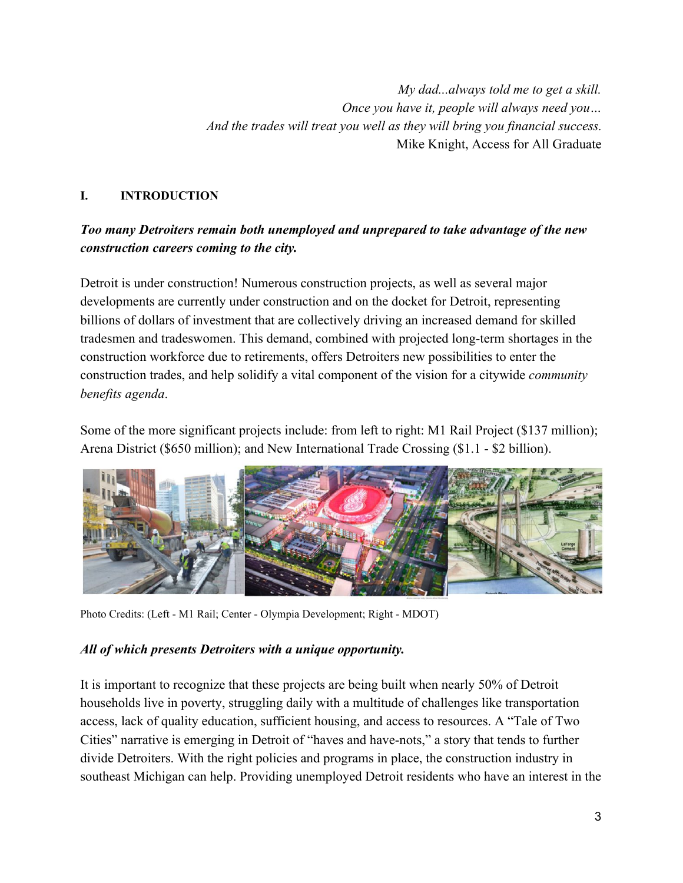*My dad...always told me to get a skill. Once you have it, people will always need you… And the trades will treat you well as they will bring you financial success.* Mike Knight, Access for All Graduate

## **I. INTRODUCTION**

## *Too many Detroiters remain both unemployed and unprepared to take advantage of the new construction careers coming to the city.*

Detroit is under construction! Numerous construction projects, as well as several major developments are currently under construction and on the docket for Detroit, representing billions of dollars of investment that are collectively driving an increased demand for skilled tradesmen and tradeswomen. This demand, combined with projected long-term shortages in the construction workforce due to retirements, offers Detroiters new possibilities to enter the construction trades, and help solidify a vital component of the vision for a citywide *community benefits agenda*.

Some of the more significant projects include: from left to right: M1 Rail Project (\$137 million); Arena District (\$650 million); and New International Trade Crossing (\$1.1 - \$2 billion).



Photo Credits: (Left - M1 Rail; Center - Olympia Development; Right - MDOT)

#### *All of which presents Detroiters with a unique opportunity.*

It is important to recognize that these projects are being built when nearly 50% of Detroit households live in poverty, struggling daily with a multitude of challenges like transportation access, lack of quality education, sufficient housing, and access to resources. A "Tale of Two Cities" narrative is emerging in Detroit of "haves and have-nots," a story that tends to further divide Detroiters. With the right policies and programs in place, the construction industry in southeast Michigan can help. Providing unemployed Detroit residents who have an interest in the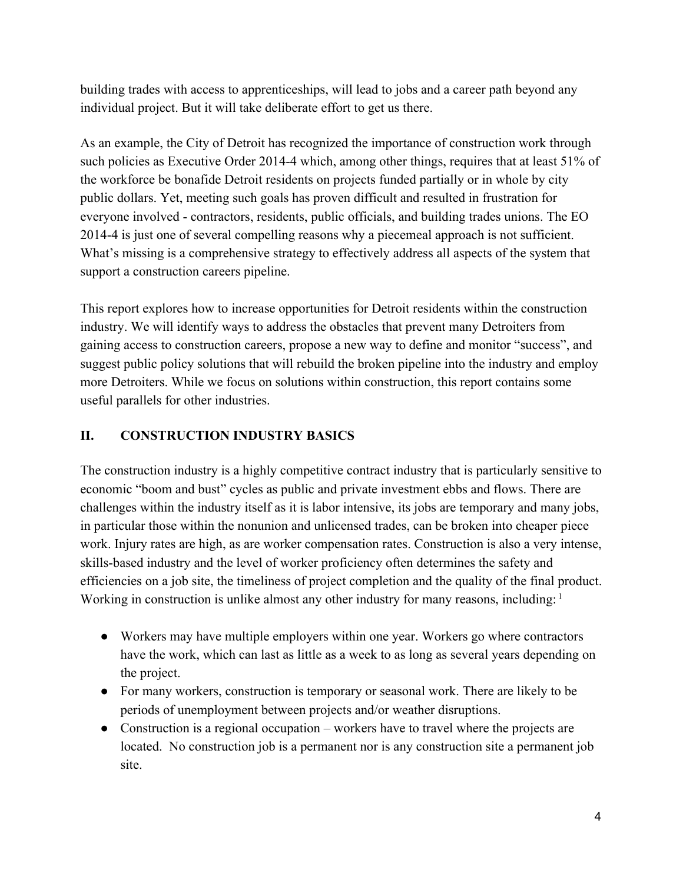building trades with access to apprenticeships, will lead to jobs and a career path beyond any individual project. But it will take deliberate effort to get us there.

As an example, the City of Detroit has recognized the importance of construction work through such policies as Executive Order 2014-4 which, among other things, requires that at least 51% of the workforce be bonafide Detroit residents on projects funded partially or in whole by city public dollars. Yet, meeting such goals has proven difficult and resulted in frustration for everyone involved - contractors, residents, public officials, and building trades unions. The EO 20144 is just one of several compelling reasons why a piecemeal approach is not sufficient. What's missing is a comprehensive strategy to effectively address all aspects of the system that support a construction careers pipeline.

This report explores how to increase opportunities for Detroit residents within the construction industry. We will identify ways to address the obstacles that prevent many Detroiters from gaining access to construction careers, propose a new way to define and monitor "success", and suggest public policy solutions that will rebuild the broken pipeline into the industry and employ more Detroiters. While we focus on solutions within construction, this report contains some useful parallels for other industries.

## **II. CONSTRUCTION INDUSTRY BASICS**

The construction industry is a highly competitive contract industry that is particularly sensitive to economic "boom and bust" cycles as public and private investment ebbs and flows. There are challenges within the industry itself as it is labor intensive, its jobs are temporary and many jobs, in particular those within the nonunion and unlicensed trades, can be broken into cheaper piece work. Injury rates are high, as are worker compensation rates. Construction is also a very intense, skills-based industry and the level of worker proficiency often determines the safety and efficiencies on a job site, the timeliness of project completion and the quality of the final product. Working in construction is unlike almost any other industry for many reasons, including: <sup>1</sup>

- Workers may have multiple employers within one year. Workers go where contractors have the work, which can last as little as a week to as long as several years depending on the project.
- For many workers, construction is temporary or seasonal work. There are likely to be periods of unemployment between projects and/or weather disruptions.
- Construction is a regional occupation workers have to travel where the projects are located. No construction job is a permanent nor is any construction site a permanent job site.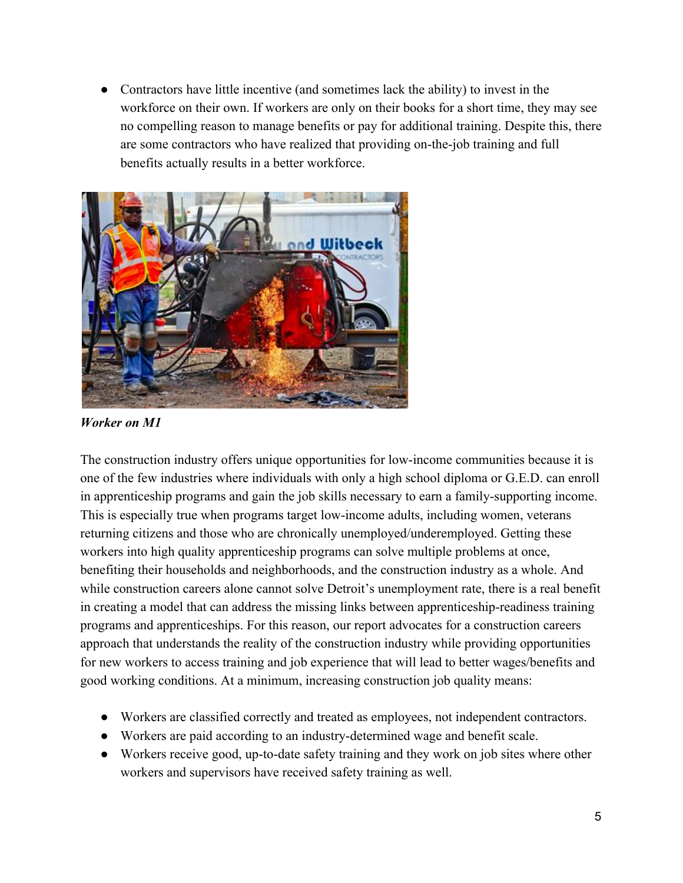● Contractors have little incentive (and sometimes lack the ability) to invest in the workforce on their own. If workers are only on their books for a short time, they may see no compelling reason to manage benefits or pay for additional training. Despite this, there are some contractors who have realized that providing on-the-job training and full benefits actually results in a better workforce.



*Worker on M1*

The construction industry offers unique opportunities for low-income communities because it is one of the few industries where individuals with only a high school diploma or G.E.D. can enroll in apprenticeship programs and gain the job skills necessary to earn a family-supporting income. This is especially true when programs target low-income adults, including women, veterans returning citizens and those who are chronically unemployed/underemployed. Getting these workers into high quality apprenticeship programs can solve multiple problems at once, benefiting their households and neighborhoods, and the construction industry as a whole. And while construction careers alone cannot solve Detroit's unemployment rate, there is a real benefit in creating a model that can address the missing links between apprenticeship-readiness training programs and apprenticeships. For this reason, our report advocates for a construction careers approach that understands the reality of the construction industry while providing opportunities for new workers to access training and job experience that will lead to better wages/benefits and good working conditions. At a minimum, increasing construction job quality means:

- Workers are classified correctly and treated as employees, not independent contractors.
- Workers are paid according to an industry-determined wage and benefit scale.
- Workers receive good, up-to-date safety training and they work on job sites where other workers and supervisors have received safety training as well.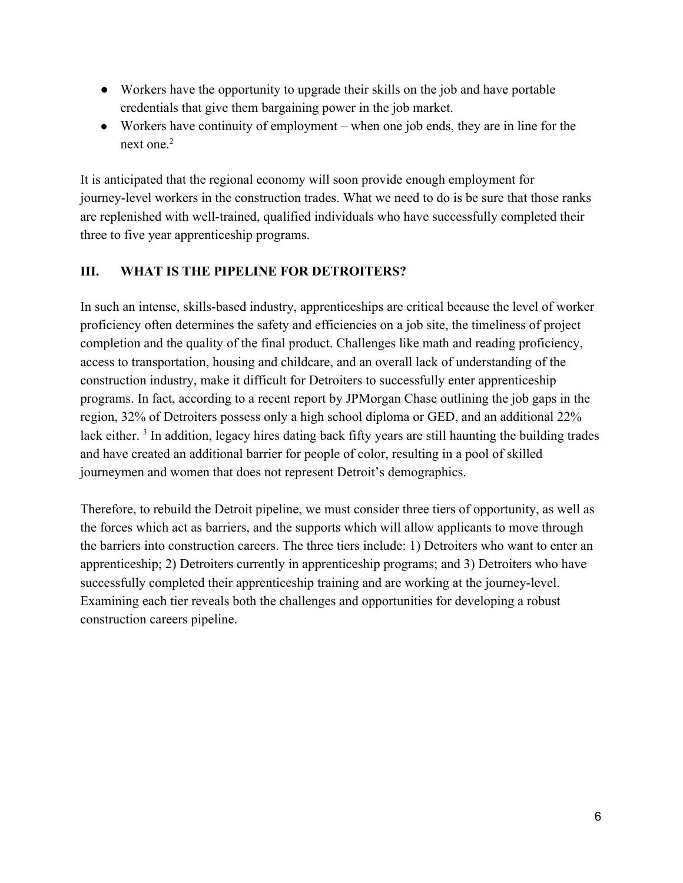- Workers have the opportunity to upgrade their skills on the job and have portable credentials that give them bargaining power in the job market.
- Workers have continuity of employment when one job ends, they are in line for the next one. 2

It is anticipated that the regional economy will soon provide enough employment for journey-level workers in the construction trades. What we need to do is be sure that those ranks are replenished with well-trained, qualified individuals who have successfully completed their three to five year apprenticeship programs.

## **III. WHAT IS THE PIPELINE FOR DETROITERS?**

In such an intense, skills-based industry, apprenticeships are critical because the level of worker proficiency often determines the safety and efficiencies on a job site, the timeliness of project completion and the quality of the final product. Challenges like math and reading proficiency, access to transportation, housing and childcare, and an overall lack of understanding of the construction industry, make it difficult for Detroiters to successfully enter apprenticeship programs. In fact, according to a recent report by JPMorgan Chase outlining the job gaps in the region, 32% of Detroiters possess only a high school diploma or GED, and an additional 22% lack either.<sup>3</sup> In addition, legacy hires dating back fifty years are still haunting the building trades and have created an additional barrier for people of color, resulting in a pool of skilled journeymen and women that does not represent Detroit's demographics.

Therefore, to rebuild the Detroit pipeline, we must consider three tiers of opportunity, as well as the forces which act as barriers, and the supports which will allow applicants to move through the barriers into construction careers. The three tiers include: 1) Detroiters who want to enter an apprenticeship; 2) Detroiters currently in apprenticeship programs; and 3) Detroiters who have successfully completed their apprenticeship training and are working at the journey-level. Examining each tier reveals both the challenges and opportunities for developing a robust construction careers pipeline.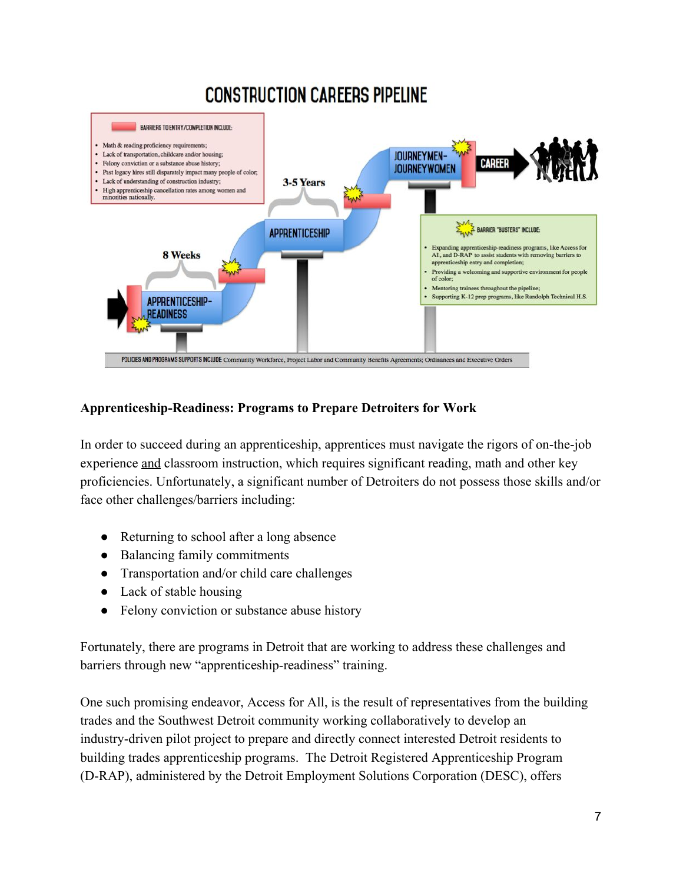# **CONSTRUCTION CAREERS PIPELINE**



## Apprenticeship-Readiness: Programs to Prepare Detroiters for Work

In order to succeed during an apprenticeship, apprentices must navigate the rigors of on-the-job experience and classroom instruction, which requires significant reading, math and other key proficiencies. Unfortunately, a significant number of Detroiters do not possess those skills and/or face other challenges/barriers including:

- Returning to school after a long absence
- Balancing family commitments
- Transportation and/or child care challenges
- Lack of stable housing
- Felony conviction or substance abuse history

Fortunately, there are programs in Detroit that are working to address these challenges and barriers through new "apprenticeship-readiness" training.

One such promising endeavor, Access for All, is the result of representatives from the building trades and the Southwest Detroit community working collaboratively to develop an industry-driven pilot project to prepare and directly connect interested Detroit residents to building trades apprenticeship programs. The Detroit Registered Apprenticeship Program (DRAP), administered by the Detroit Employment Solutions Corporation (DESC), offers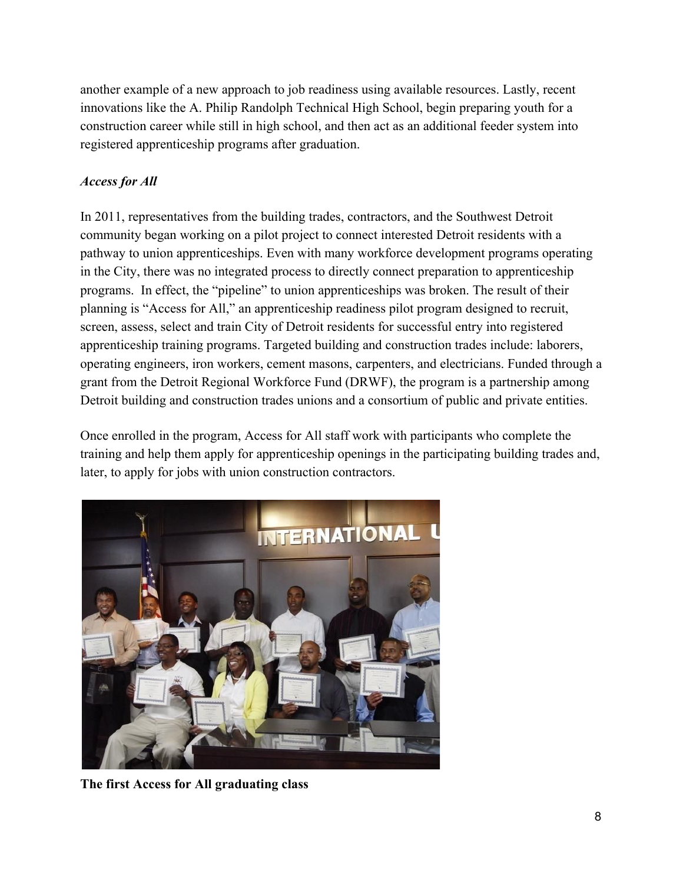another example of a new approach to job readiness using available resources. Lastly, recent innovations like the A. Philip Randolph Technical High School, begin preparing youth for a construction career while still in high school, and then act as an additional feeder system into registered apprenticeship programs after graduation.

## *Access for All*

In 2011, representatives from the building trades, contractors, and the Southwest Detroit community began working on a pilot project to connect interested Detroit residents with a pathway to union apprenticeships. Even with many workforce development programs operating in the City, there was no integrated process to directly connect preparation to apprenticeship programs. In effect, the "pipeline" to union apprenticeships was broken. The result of their planning is "Access for All," an apprenticeship readiness pilot program designed to recruit, screen, assess, select and train City of Detroit residents for successful entry into registered apprenticeship training programs. Targeted building and construction trades include: laborers, operating engineers, iron workers, cement masons, carpenters, and electricians. Funded through a grant from the Detroit Regional Workforce Fund (DRWF), the program is a partnership among Detroit building and construction trades unions and a consortium of public and private entities.

Once enrolled in the program, Access for All staff work with participants who complete the training and help them apply for apprenticeship openings in the participating building trades and, later, to apply for jobs with union construction contractors.



**The first Access for All graduating class**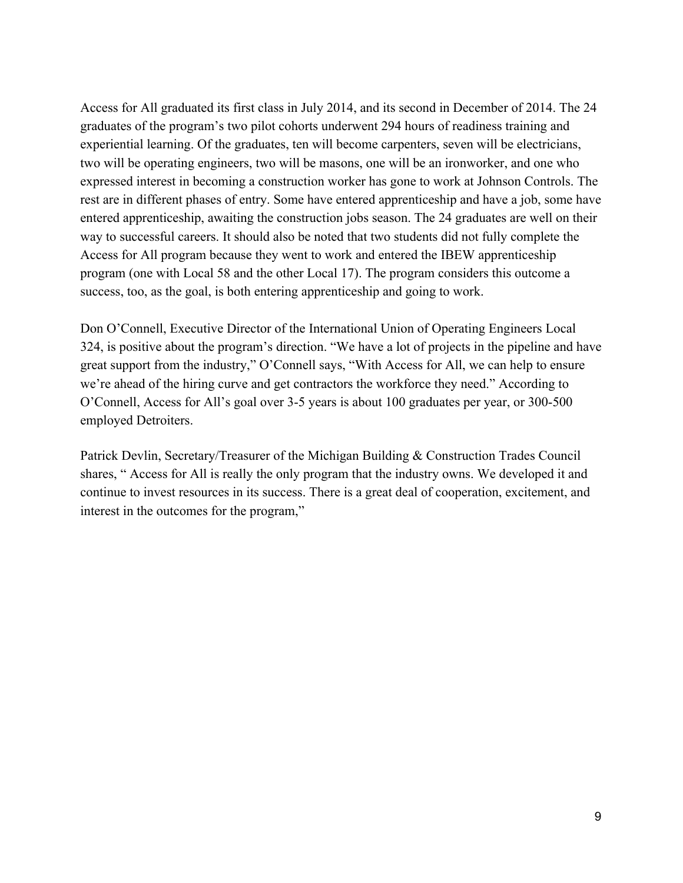Access for All graduated its first class in July 2014, and its second in December of 2014. The 24 graduates of the program's two pilot cohorts underwent 294 hours of readiness training and experiential learning. Of the graduates, ten will become carpenters, seven will be electricians, two will be operating engineers, two will be masons, one will be an ironworker, and one who expressed interest in becoming a construction worker has gone to work at Johnson Controls. The rest are in different phases of entry. Some have entered apprenticeship and have a job, some have entered apprenticeship, awaiting the construction jobs season. The 24 graduates are well on their way to successful careers. It should also be noted that two students did not fully complete the Access for All program because they went to work and entered the IBEW apprenticeship program (one with Local 58 and the other Local 17). The program considers this outcome a success, too, as the goal, is both entering apprenticeship and going to work.

Don O'Connell, Executive Director of the International Union of Operating Engineers Local 324, is positive about the program's direction. "We have a lot of projects in the pipeline and have great support from the industry," O'Connell says, "With Access for All, we can help to ensure we're ahead of the hiring curve and get contractors the workforce they need." According to O'Connell, Access for All's goal over 3-5 years is about 100 graduates per year, or 300-500 employed Detroiters.

Patrick Devlin, Secretary/Treasurer of the Michigan Building & Construction Trades Council shares, " Access for All is really the only program that the industry owns. We developed it and continue to invest resources in its success. There is a great deal of cooperation, excitement, and interest in the outcomes for the program,"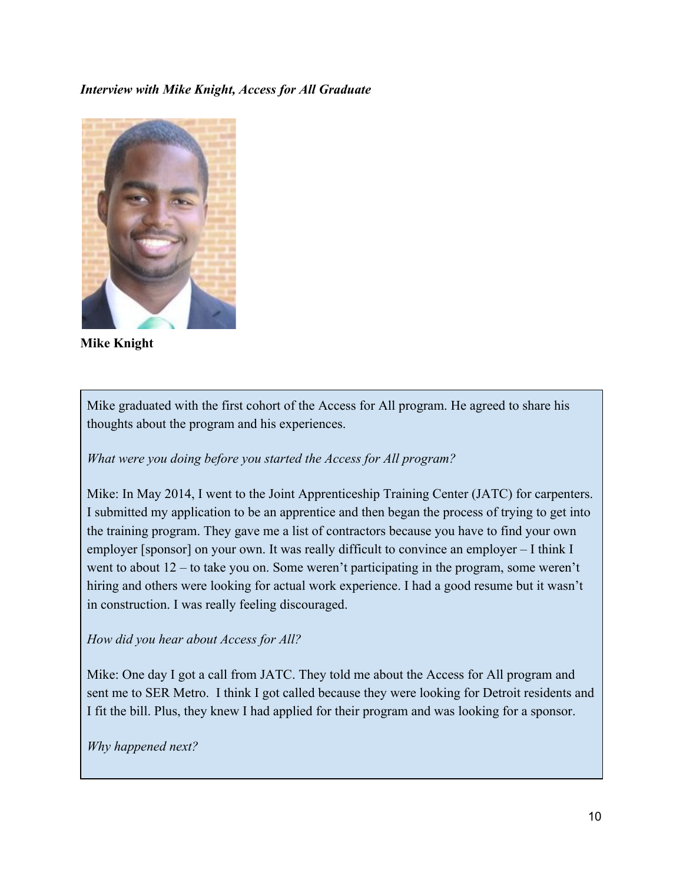#### *Interview with Mike Knight, Access for All Graduate*



**Mike Knight**

Mike graduated with the first cohort of the Access for All program. He agreed to share his thoughts about the program and his experiences.

*What were you doing before you started the Access for All program?*

Mike: In May 2014, I went to the Joint Apprenticeship Training Center (JATC) for carpenters. I submitted my application to be an apprentice and then began the process of trying to get into the training program. They gave me a list of contractors because you have to find your own employer [sponsor] on your own. It was really difficult to convince an employer – I think I went to about 12 – to take you on. Some weren't participating in the program, some weren't hiring and others were looking for actual work experience. I had a good resume but it wasn't in construction. I was really feeling discouraged.

#### *How did you hear about Access for All?*

Mike: One day I got a call from JATC. They told me about the Access for All program and sent me to SER Metro. I think I got called because they were looking for Detroit residents and I fit the bill. Plus, they knew I had applied for their program and was looking for a sponsor.

*Why happened next?*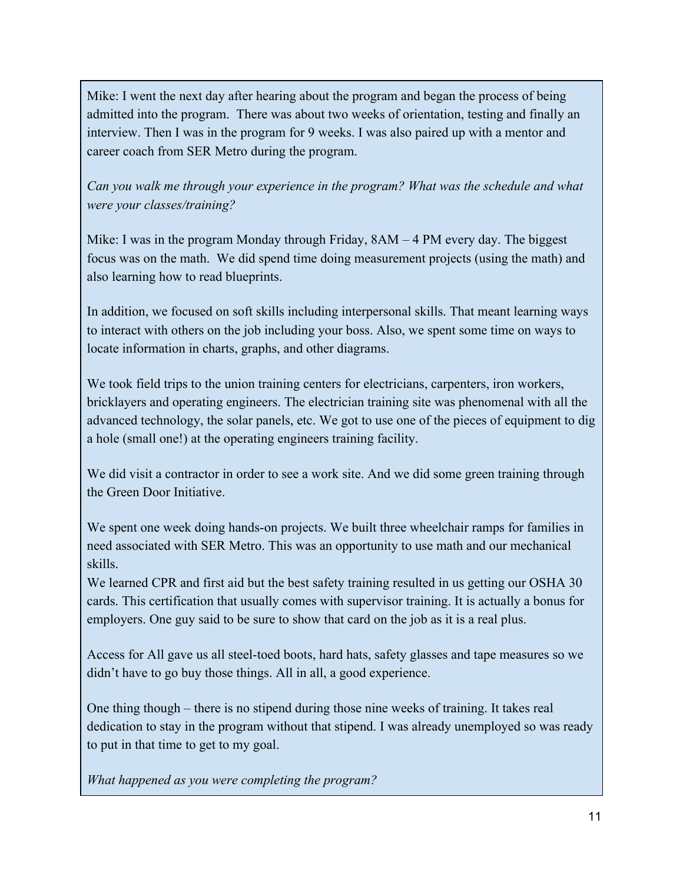Mike: I went the next day after hearing about the program and began the process of being admitted into the program. There was about two weeks of orientation, testing and finally an interview. Then I was in the program for 9 weeks. I was also paired up with a mentor and career coach from SER Metro during the program.

*Can you walk me through your experience in the program? What was the schedule and what were your classes/training?*

Mike: I was in the program Monday through Friday, 8AM – 4 PM every day. The biggest focus was on the math. We did spend time doing measurement projects (using the math) and also learning how to read blueprints.

In addition, we focused on soft skills including interpersonal skills. That meant learning ways to interact with others on the job including your boss. Also, we spent some time on ways to locate information in charts, graphs, and other diagrams.

We took field trips to the union training centers for electricians, carpenters, iron workers, bricklayers and operating engineers. The electrician training site was phenomenal with all the advanced technology, the solar panels, etc. We got to use one of the pieces of equipment to dig a hole (small one!) at the operating engineers training facility.

We did visit a contractor in order to see a work site. And we did some green training through the Green Door Initiative.

We spent one week doing hands-on projects. We built three wheelchair ramps for families in need associated with SER Metro. This was an opportunity to use math and our mechanical skills.

We learned CPR and first aid but the best safety training resulted in us getting our OSHA 30 cards. This certification that usually comes with supervisor training. It is actually a bonus for employers. One guy said to be sure to show that card on the job as it is a real plus.

Access for All gave us all steel-toed boots, hard hats, safety glasses and tape measures so we didn't have to go buy those things. All in all, a good experience.

One thing though – there is no stipend during those nine weeks of training. It takes real dedication to stay in the program without that stipend. I was already unemployed so was ready to put in that time to get to my goal.

*What happened as you were completing the program?*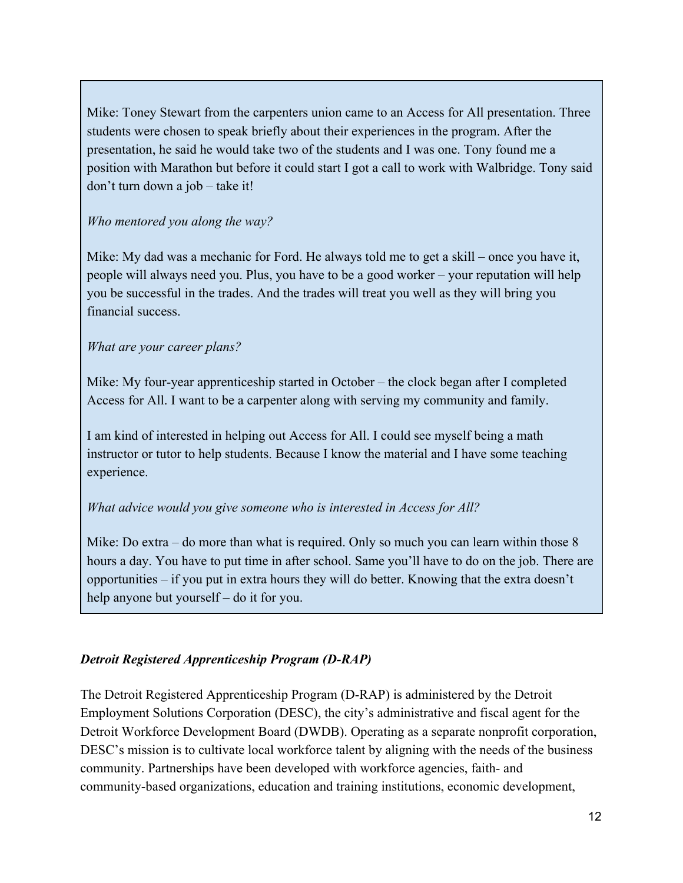Mike: Toney Stewart from the carpenters union came to an Access for All presentation. Three students were chosen to speak briefly about their experiences in the program. After the presentation, he said he would take two of the students and I was one. Tony found me a position with Marathon but before it could start I got a call to work with Walbridge. Tony said don't turn down a job – take it!

## *Who mentored you along the way?*

Mike: My dad was a mechanic for Ford. He always told me to get a skill – once you have it, people will always need you. Plus, you have to be a good worker – your reputation will help you be successful in the trades. And the trades will treat you well as they will bring you financial success.

## *What are your career plans?*

Mike: My four-year apprenticeship started in October – the clock began after I completed Access for All. I want to be a carpenter along with serving my community and family.

I am kind of interested in helping out Access for All. I could see myself being a math instructor or tutor to help students. Because I know the material and I have some teaching experience.

#### *What advice would you give someone who is interested in Access for All?*

Mike: Do extra – do more than what is required. Only so much you can learn within those 8 hours a day. You have to put time in after school. Same you'll have to do on the job. There are opportunities – if you put in extra hours they will do better. Knowing that the extra doesn't help anyone but yourself – do it for you.

#### *Detroit Registered Apprenticeship Program (D-RAP)*

The Detroit Registered Apprenticeship Program (DRAP) is administered by the Detroit Employment Solutions Corporation (DESC), the city's administrative and fiscal agent for the Detroit Workforce Development Board (DWDB). Operating as a separate nonprofit corporation, DESC's mission is to cultivate local workforce talent by aligning with the needs of the business community. Partnerships have been developed with workforce agencies, faith- and community-based organizations, education and training institutions, economic development,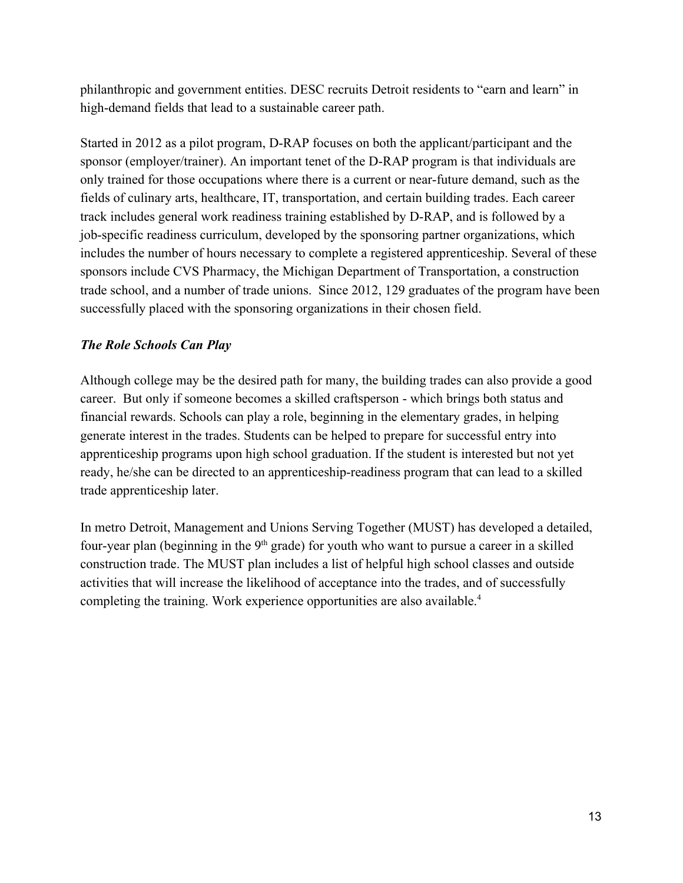philanthropic and government entities. DESC recruits Detroit residents to "earn and learn" in high-demand fields that lead to a sustainable career path.

Started in 2012 as a pilot program, D-RAP focuses on both the applicant/participant and the sponsor (employer/trainer). An important tenet of the D-RAP program is that individuals are only trained for those occupations where there is a current or near-future demand, such as the fields of culinary arts, healthcare, IT, transportation, and certain building trades. Each career track includes general work readiness training established by D-RAP, and is followed by a job-specific readiness curriculum, developed by the sponsoring partner organizations, which includes the number of hours necessary to complete a registered apprenticeship. Several of these sponsors include CVS Pharmacy, the Michigan Department of Transportation, a construction trade school, and a number of trade unions. Since 2012, 129 graduates of the program have been successfully placed with the sponsoring organizations in their chosen field.

## *The Role Schools Can Play*

Although college may be the desired path for many, the building trades can also provide a good career. But only if someone becomes a skilled craftsperson - which brings both status and financial rewards. Schools can play a role, beginning in the elementary grades, in helping generate interest in the trades. Students can be helped to prepare for successful entry into apprenticeship programs upon high school graduation. If the student is interested but not yet ready, he/she can be directed to an apprenticeship-readiness program that can lead to a skilled trade apprenticeship later.

In metro Detroit, Management and Unions Serving Together (MUST) has developed a detailed, four-year plan (beginning in the  $9<sup>th</sup>$  grade) for youth who want to pursue a career in a skilled construction trade. The MUST plan includes a list of helpful high school classes and outside activities that will increase the likelihood of acceptance into the trades, and of successfully completing the training. Work experience opportunities are also available.<sup>4</sup>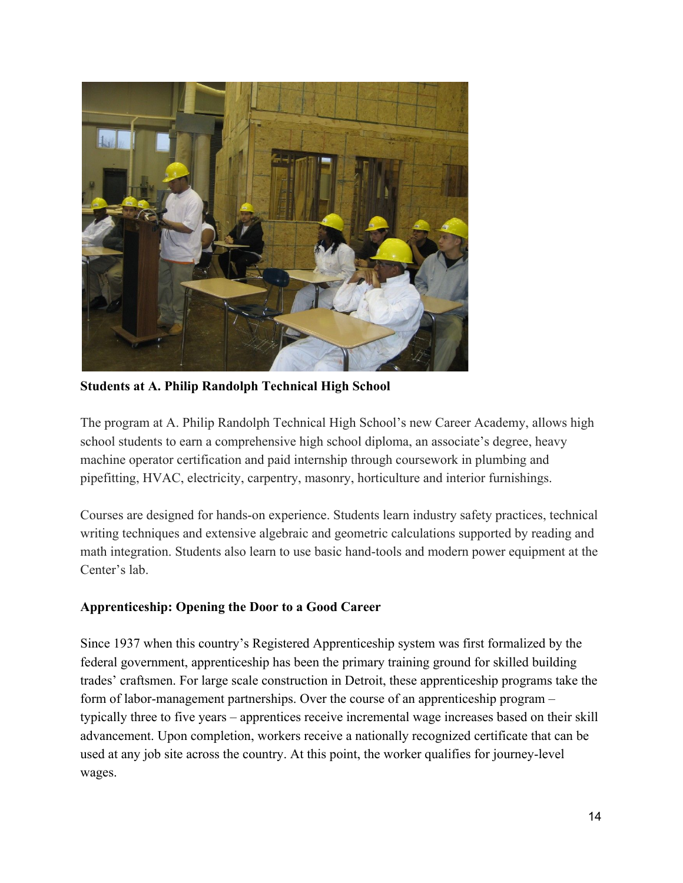

**Students at A. Philip Randolph Technical High School**

The program at A. Philip Randolph Technical High School's new Career Academy, allows high school students to earn a comprehensive high school diploma, an associate's degree, heavy machine operator certification and paid internship through coursework in plumbing and pipefitting, HVAC, electricity, carpentry, masonry, horticulture and interior furnishings.

Courses are designed for hands-on experience. Students learn industry safety practices, technical writing techniques and extensive algebraic and geometric calculations supported by reading and math integration. Students also learn to use basic hand-tools and modern power equipment at the Center's lab.

## **Apprenticeship: Opening the Door to a Good Career**

Since 1937 when this country's Registered Apprenticeship system was first formalized by the federal government, apprenticeship has been the primary training ground for skilled building trades' craftsmen. For large scale construction in Detroit, these apprenticeship programs take the form of labor-management partnerships. Over the course of an apprenticeship program – typically three to five years – apprentices receive incremental wage increases based on their skill advancement. Upon completion, workers receive a nationally recognized certificate that can be used at any job site across the country. At this point, the worker qualifies for journey-level wages.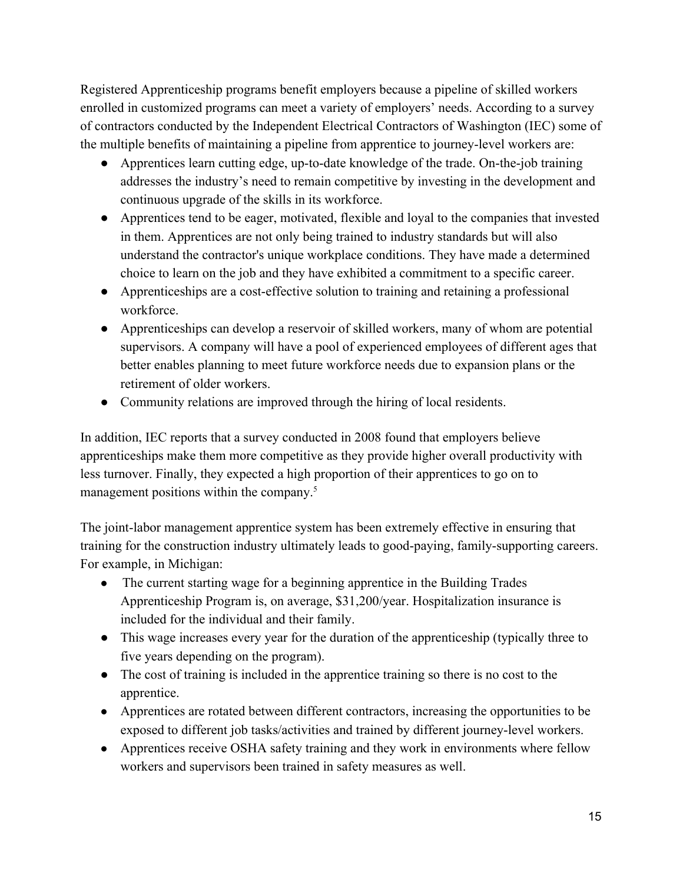Registered Apprenticeship programs benefit employers because a pipeline of skilled workers enrolled in customized programs can meet a variety of employers' needs. According to a survey of contractors conducted by the Independent Electrical Contractors of Washington (IEC) some of the multiple benefits of maintaining a pipeline from apprentice to journey-level workers are:

- Apprentices learn cutting edge, up-to-date knowledge of the trade. On-the-job training addresses the industry's need to remain competitive by investing in the development and continuous upgrade of the skills in its workforce.
- Apprentices tend to be eager, motivated, flexible and loyal to the companies that invested in them. Apprentices are not only being trained to industry standards but will also understand the contractor's unique workplace conditions. They have made a determined choice to learn on the job and they have exhibited a commitment to a specific career.
- Apprenticeships are a cost-effective solution to training and retaining a professional workforce.
- Apprenticeships can develop a reservoir of skilled workers, many of whom are potential supervisors. A company will have a pool of experienced employees of different ages that better enables planning to meet future workforce needs due to expansion plans or the retirement of older workers.
- Community relations are improved through the hiring of local residents.

In addition, IEC reports that a survey conducted in 2008 found that employers believe apprenticeships make them more competitive as they provide higher overall productivity with less turnover. Finally, they expected a high proportion of their apprentices to go on to management positions within the company.<sup>5</sup>

The joint-labor management apprentice system has been extremely effective in ensuring that training for the construction industry ultimately leads to good-paying, family-supporting careers. For example, in Michigan:

- The current starting wage for a beginning apprentice in the Building Trades Apprenticeship Program is, on average, \$31,200/year. Hospitalization insurance is included for the individual and their family.
- This wage increases every year for the duration of the apprenticeship (typically three to five years depending on the program).
- The cost of training is included in the apprentice training so there is no cost to the apprentice.
- Apprentices are rotated between different contractors, increasing the opportunities to be exposed to different job tasks/activities and trained by different journey-level workers.
- Apprentices receive OSHA safety training and they work in environments where fellow workers and supervisors been trained in safety measures as well.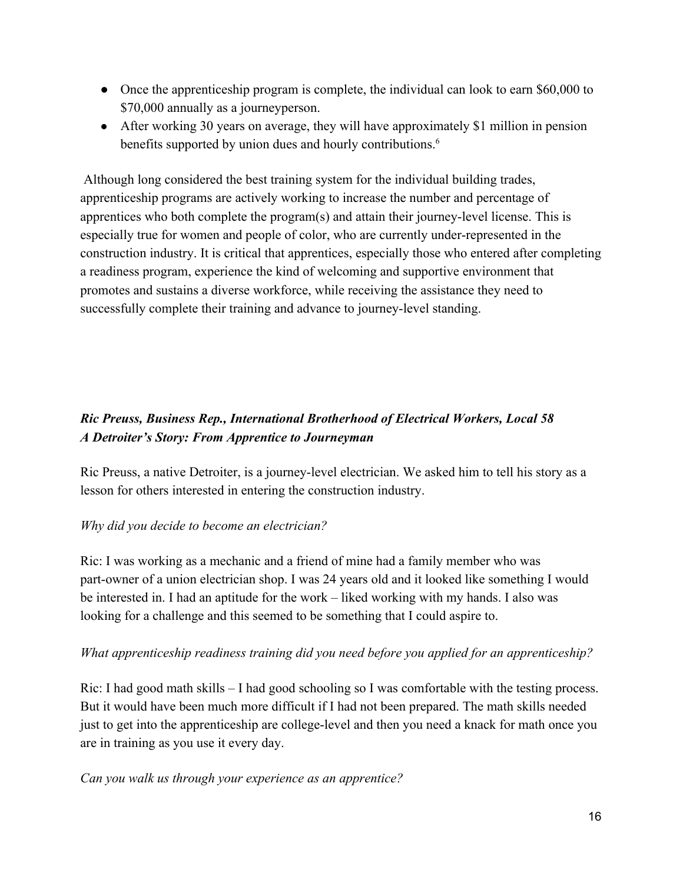- Once the apprenticeship program is complete, the individual can look to earn \$60,000 to \$70,000 annually as a journeyperson.
- After working 30 years on average, they will have approximately \$1 million in pension benefits supported by union dues and hourly contributions.<sup>6</sup>

 Although long considered the best training system for the individual building trades, apprenticeship programs are actively working to increase the number and percentage of apprentices who both complete the program(s) and attain their journey-level license. This is especially true for women and people of color, who are currently under-represented in the construction industry. It is critical that apprentices, especially those who entered after completing a readiness program, experience the kind of welcoming and supportive environment that promotes and sustains a diverse workforce, while receiving the assistance they need to successfully complete their training and advance to journey-level standing.

# *Ric Preuss, Business Rep., International Brotherhood of Electrical Workers, Local 58 A Detroiter's Story: From Apprentice to Journeyman*

Ric Preuss, a native Detroiter, is a journey-level electrician. We asked him to tell his story as a lesson for others interested in entering the construction industry.

## *Why did you decide to become an electrician?*

Ric: I was working as a mechanic and a friend of mine had a family member who was part-owner of a union electrician shop. I was 24 years old and it looked like something I would be interested in. I had an aptitude for the work – liked working with my hands. I also was looking for a challenge and this seemed to be something that I could aspire to.

## *What apprenticeship readiness training did you need before you applied for an apprenticeship?*

Ric: I had good math skills  $-1$  had good schooling so I was comfortable with the testing process. But it would have been much more difficult if I had not been prepared. The math skills needed just to get into the apprenticeship are college-level and then you need a knack for math once you are in training as you use it every day.

## *Can you walk us through your experience as an apprentice?*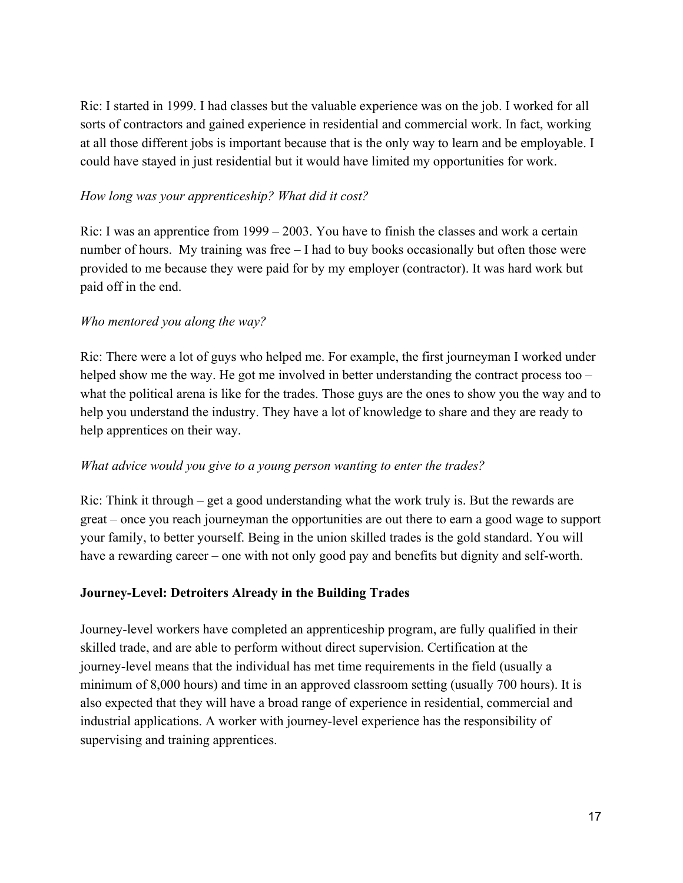Ric: I started in 1999. I had classes but the valuable experience was on the job. I worked for all sorts of contractors and gained experience in residential and commercial work. In fact, working at all those different jobs is important because that is the only way to learn and be employable. I could have stayed in just residential but it would have limited my opportunities for work.

#### *How long was your apprenticeship? What did it cost?*

Ric: I was an apprentice from 1999 – 2003. You have to finish the classes and work a certain number of hours. My training was free – I had to buy books occasionally but often those were provided to me because they were paid for by my employer (contractor). It was hard work but paid off in the end.

#### *Who mentored you along the way?*

Ric: There were a lot of guys who helped me. For example, the first journeyman I worked under helped show me the way. He got me involved in better understanding the contract process too – what the political arena is like for the trades. Those guys are the ones to show you the way and to help you understand the industry. They have a lot of knowledge to share and they are ready to help apprentices on their way.

#### *What advice would you give to a young person wanting to enter the trades?*

Ric: Think it through – get a good understanding what the work truly is. But the rewards are great – once you reach journeyman the opportunities are out there to earn a good wage to support your family, to better yourself. Being in the union skilled trades is the gold standard. You will have a rewarding career – one with not only good pay and benefits but dignity and self-worth.

#### **JourneyLevel: Detroiters Already in the Building Trades**

Journey-level workers have completed an apprenticeship program, are fully qualified in their skilled trade, and are able to perform without direct supervision. Certification at the journey-level means that the individual has met time requirements in the field (usually a minimum of 8,000 hours) and time in an approved classroom setting (usually 700 hours). It is also expected that they will have a broad range of experience in residential, commercial and industrial applications. A worker with journey-level experience has the responsibility of supervising and training apprentices.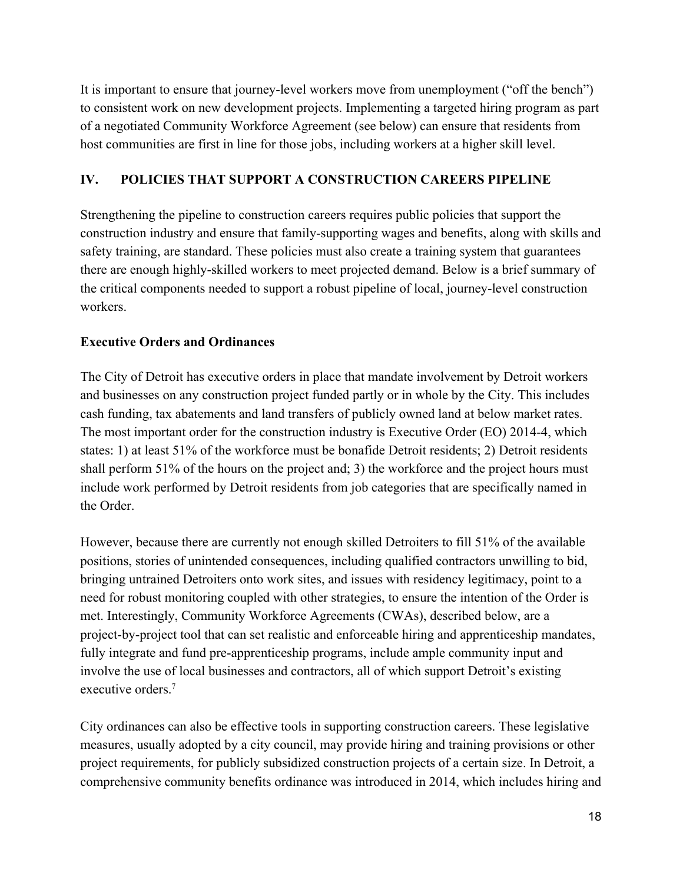It is important to ensure that journey-level workers move from unemployment ("off the bench") to consistent work on new development projects. Implementing a targeted hiring program as part of a negotiated Community Workforce Agreement (see below) can ensure that residents from host communities are first in line for those jobs, including workers at a higher skill level.

## **IV. POLICIES THAT SUPPORT A CONSTRUCTION CAREERS PIPELINE**

Strengthening the pipeline to construction careers requires public policies that support the construction industry and ensure that family-supporting wages and benefits, along with skills and safety training, are standard. These policies must also create a training system that guarantees there are enough highly-skilled workers to meet projected demand. Below is a brief summary of the critical components needed to support a robust pipeline of local, journey-level construction workers.

## **Executive Orders and Ordinances**

The City of Detroit has executive orders in place that mandate involvement by Detroit workers and businesses on any construction project funded partly or in whole by the City. This includes cash funding, tax abatements and land transfers of publicly owned land at below market rates. The most important order for the construction industry is Executive Order (EO) 20144, which states: 1) at least 51% of the workforce must be bonafide Detroit residents; 2) Detroit residents shall perform 51% of the hours on the project and; 3) the workforce and the project hours must include work performed by Detroit residents from job categories that are specifically named in the Order.

However, because there are currently not enough skilled Detroiters to fill 51% of the available positions, stories of unintended consequences, including qualified contractors unwilling to bid, bringing untrained Detroiters onto work sites, and issues with residency legitimacy, point to a need for robust monitoring coupled with other strategies, to ensure the intention of the Order is met. Interestingly, Community Workforce Agreements (CWAs), described below, are a project-by-project tool that can set realistic and enforceable hiring and apprenticeship mandates, fully integrate and fund pre-apprenticeship programs, include ample community input and involve the use of local businesses and contractors, all of which support Detroit's existing executive orders<sup>7</sup>

City ordinances can also be effective tools in supporting construction careers. These legislative measures, usually adopted by a city council, may provide hiring and training provisions or other project requirements, for publicly subsidized construction projects of a certain size. In Detroit, a comprehensive community benefits ordinance was introduced in 2014, which includes hiring and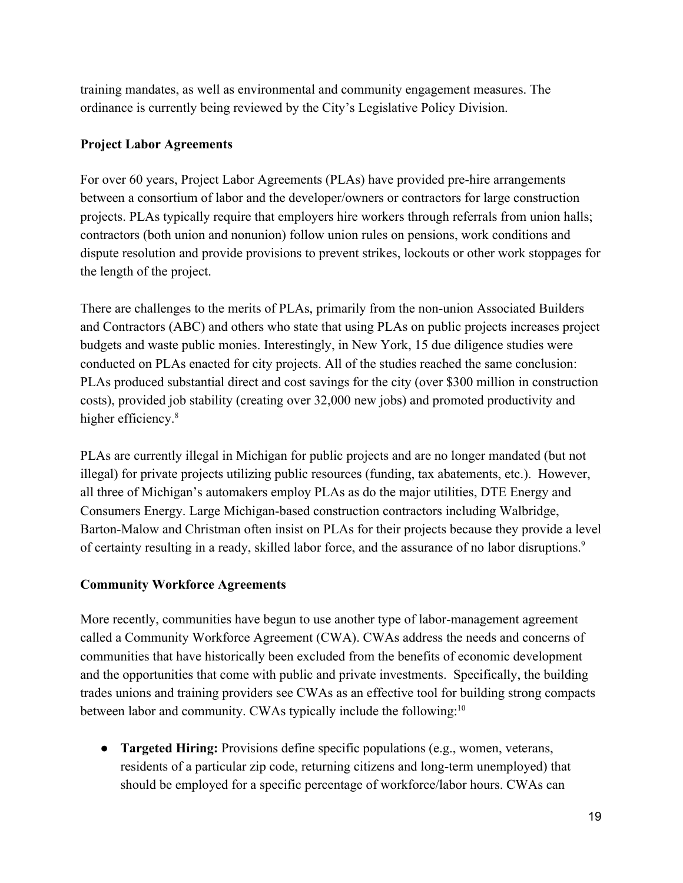training mandates, as well as environmental and community engagement measures. The ordinance is currently being reviewed by the City's Legislative Policy Division.

## **Project Labor Agreements**

For over 60 years, Project Labor Agreements (PLAs) have provided pre-hire arrangements between a consortium of labor and the developer/owners or contractors for large construction projects. PLAs typically require that employers hire workers through referrals from union halls; contractors (both union and nonunion) follow union rules on pensions, work conditions and dispute resolution and provide provisions to prevent strikes, [lockouts](http://en.wikipedia.org/wiki/Lockout_(industry)) or other work stoppages for the length of the project.

There are challenges to the merits of PLAs, primarily from the non-union Associated Builders and Contractors (ABC) and others who state that using PLAs on public projects increases project budgets and waste public monies. Interestingly, in New York, 15 due diligence studies were conducted on PLAs enacted for city projects. All of the studies reached the same conclusion: PLAs produced substantial direct and cost savings for the city (over \$300 million in construction costs), provided job stability (creating over 32,000 new jobs) and promoted productivity and higher efficiency.<sup>8</sup>

PLAs are currently illegal in Michigan for public projects and are no longer mandated (but not illegal) for private projects utilizing public resources (funding, tax abatements, etc.). However, all three of Michigan's automakers employ PLAs as do the major utilities, DTE Energy and Consumers Energy. Large Michigan-based construction contractors including Walbridge, Barton-Malow and Christman often insist on PLAs for their projects because they provide a level of certainty resulting in a ready, skilled labor force, and the assurance of no labor disruptions.<sup>9</sup>

## **Community Workforce Agreements**

More recently, communities have begun to use another type of labor-management agreement called a Community Workforce Agreement (CWA). CWAs address the needs and concerns of communities that have historically been excluded from the benefits of economic development and the opportunities that come with public and private investments. Specifically, the building trades unions and training providers see CWAs as an effective tool for building strong compacts between labor and community. CWAs typically include the following:<sup>10</sup>

● **Targeted Hiring:** Provisions define specific populations (e.g., women, veterans, residents of a particular zip code, returning citizens and long-term unemployed) that should be employed for a specific percentage of workforce/labor hours. CWAs can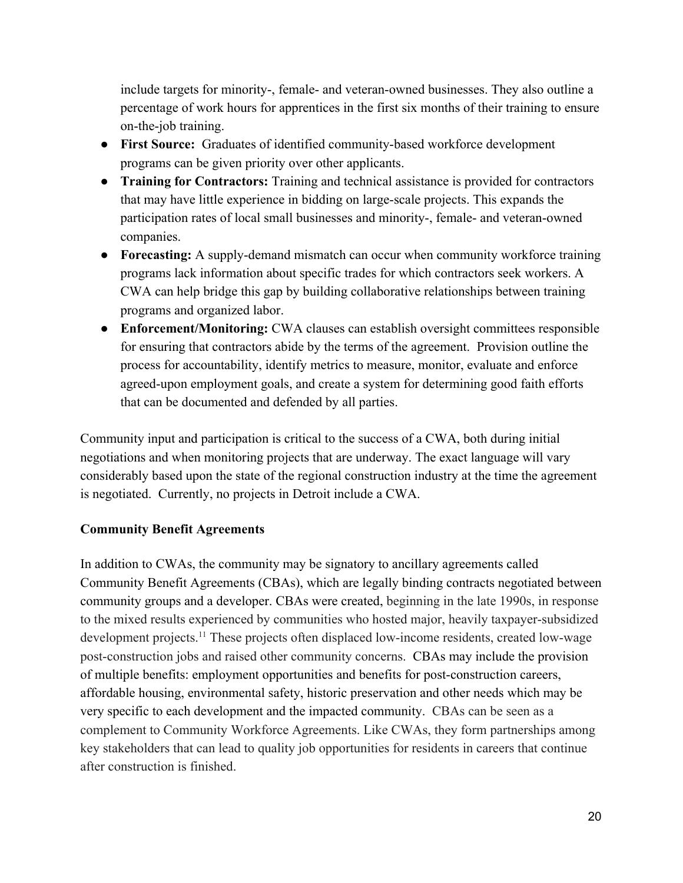include targets for minority-, female- and veteran-owned businesses. They also outline a percentage of work hours for apprentices in the first six months of their training to ensure on-the-job training.

- First Source: Graduates of identified community-based workforce development programs can be given priority over other applicants.
- **Training for Contractors:** Training and technical assistance is provided for contractors that may have little experience in bidding on large-scale projects. This expands the participation rates of local small businesses and minority-, female- and veteran-owned companies.
- **Forecasting:** A supply-demand mismatch can occur when community workforce training programs lack information about specific trades for which contractors seek workers. A CWA can help bridge this gap by building collaborative relationships between training programs and organized labor.
- **Enforcement/Monitoring:** CWA clauses can establish oversight committees responsible for ensuring that contractors abide by the terms of the agreement. Provision outline the process for accountability, identify metrics to measure, monitor, evaluate and enforce agreed-upon employment goals, and create a system for determining good faith efforts that can be documented and defended by all parties.

Community input and participation is critical to the success of a CWA, both during initial negotiations and when monitoring projects that are underway. The exact language will vary considerably based upon the state of the regional construction industry at the time the agreement is negotiated. Currently, no projects in Detroit include a CWA.

## **Community Benefit Agreements**

In addition to CWAs, the community may be signatory to ancillary agreements called Community Benefit Agreements (CBAs), which are legally binding contracts negotiated between community groups and a developer. CBAs were created, beginning in the late 1990s, in response to the mixed results experienced by communities who hosted major, heavily taxpayer-subsidized development projects.<sup>11</sup> These projects often displaced low-income residents, created low-wage post-construction jobs and raised other community concerns. CBAs may include the provision of multiple benefits: employment opportunities and benefits for post-construction careers, affordable housing, environmental safety, historic preservation and other needs which may be very specific to each development and the impacted community. CBAs can be seen as a complement to Community Workforce Agreements. Like CWAs, they form partnerships among key stakeholders that can lead to quality job opportunities for residents in careers that continue after construction is finished.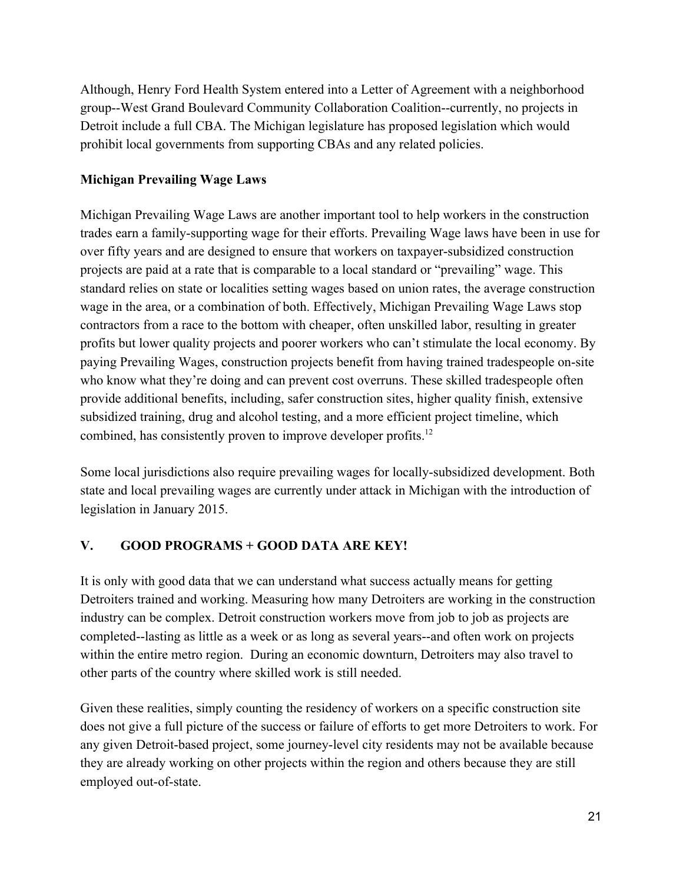Although, Henry Ford Health System entered into a Letter of Agreement with a neighborhood group--West Grand Boulevard Community Collaboration Coalition--currently, no projects in Detroit include a full CBA. The Michigan legislature has proposed legislation which would prohibit local governments from supporting CBAs and any related policies.

## **Michigan Prevailing Wage Laws**

Michigan Prevailing Wage Laws are another important tool to help workers in the construction trades earn a family-supporting wage for their efforts. Prevailing Wage laws have been in use for over fifty years and are designed to ensure that workers on taxpayer-subsidized construction projects are paid at a rate that is comparable to a local standard or "prevailing" wage. This standard relies on state or localities setting wages based on union rates, the average construction wage in the area, or a combination of both. Effectively, Michigan Prevailing Wage Laws stop contractors from a race to the bottom with cheaper, often unskilled labor, resulting in greater profits but lower quality projects and poorer workers who can't stimulate the local economy. By paying Prevailing Wages, construction projects benefit from having trained tradespeople on-site who know what they're doing and can prevent cost overruns. These skilled tradespeople often provide additional benefits, including, safer construction sites, higher quality finish, extensive subsidized training, drug and alcohol testing, and a more efficient project timeline, which combined, has consistently proven to improve developer profits.<sup>12</sup>

Some local jurisdictions also require prevailing wages for locally-subsidized development. Both state and local prevailing wages are currently under attack in Michigan with the introduction of legislation in January 2015.

## **V. GOOD PROGRAMS + GOOD DATA ARE KEY!**

It is only with good data that we can understand what success actually means for getting Detroiters trained and working. Measuring how many Detroiters are working in the construction industry can be complex. Detroit construction workers move from job to job as projects are completed--lasting as little as a week or as long as several years--and often work on projects within the entire metro region. During an economic downturn, Detroiters may also travel to other parts of the country where skilled work is still needed.

Given these realities, simply counting the residency of workers on a specific construction site does not give a full picture of the success or failure of efforts to get more Detroiters to work. For any given Detroit-based project, some journey-level city residents may not be available because they are already working on other projects within the region and others because they are still employed out-of-state.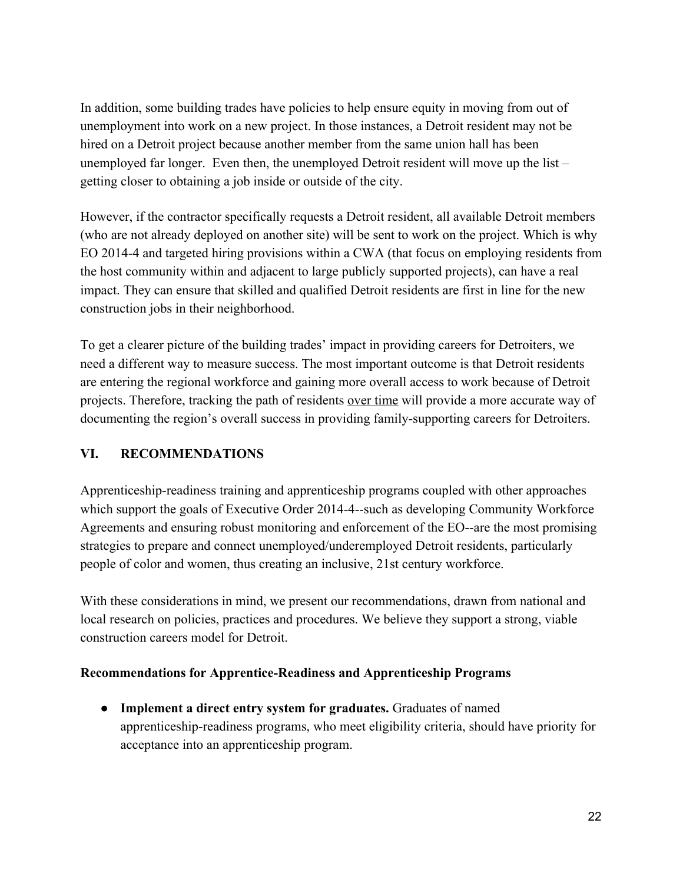In addition, some building trades have policies to help ensure equity in moving from out of unemployment into work on a new project. In those instances, a Detroit resident may not be hired on a Detroit project because another member from the same union hall has been unemployed far longer. Even then, the unemployed Detroit resident will move up the list – getting closer to obtaining a job inside or outside of the city.

However, if the contractor specifically requests a Detroit resident, all available Detroit members (who are not already deployed on another site) will be sent to work on the project. Which is why EO 2014-4 and targeted hiring provisions within a CWA (that focus on employing residents from the host community within and adjacent to large publicly supported projects), can have a real impact. They can ensure that skilled and qualified Detroit residents are first in line for the new construction jobs in their neighborhood.

To get a clearer picture of the building trades' impact in providing careers for Detroiters, we need a different way to measure success. The most important outcome is that Detroit residents are entering the regional workforce and gaining more overall access to work because of Detroit projects. Therefore, tracking the path of residents over time will provide a more accurate way of documenting the region's overall success in providing family-supporting careers for Detroiters.

## **VI. RECOMMENDATIONS**

Apprenticeship-readiness training and apprenticeship programs coupled with other approaches which support the goals of Executive Order 2014-4--such as developing Community Workforce Agreements and ensuring robust monitoring and enforcement of the EO--are the most promising strategies to prepare and connect unemployed/underemployed Detroit residents, particularly people of color and women, thus creating an inclusive, 21st century workforce.

With these considerations in mind, we present our recommendations, drawn from national and local research on policies, practices and procedures. We believe they support a strong, viable construction careers model for Detroit.

#### **Recommendations for Apprentice-Readiness and Apprenticeship Programs**

● **Implement a direct entry system for graduates.** Graduates of named apprenticeship-readiness programs, who meet eligibility criteria, should have priority for acceptance into an apprenticeship program.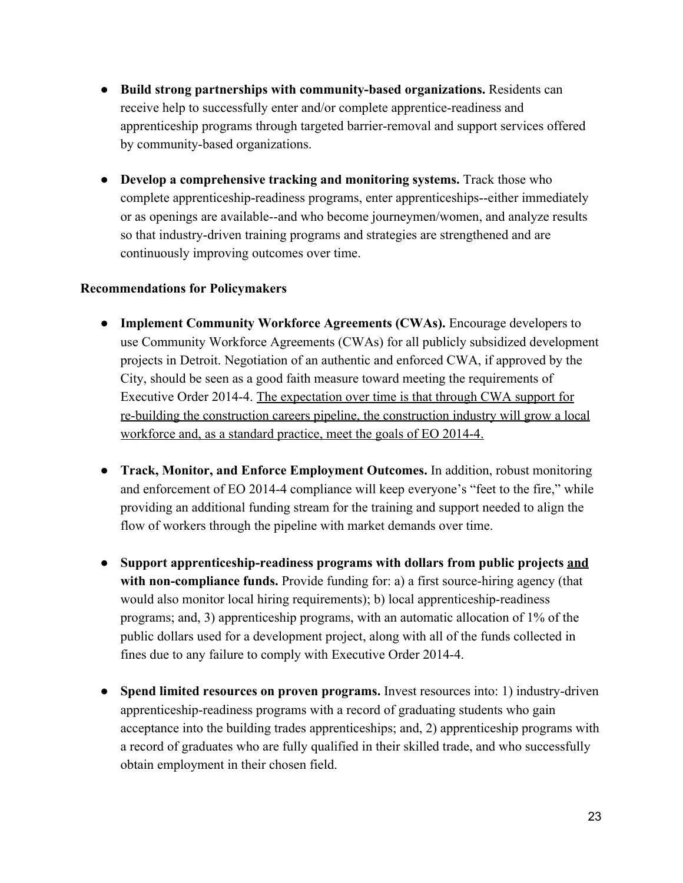- Build strong partnerships with community-based organizations. Residents can receive help to successfully enter and/or complete apprentice-readiness and apprenticeship programs through targeted barrier-removal and support services offered by community-based organizations.
- **Develop a comprehensive tracking and monitoring systems.** Track those who complete apprenticeship-readiness programs, enter apprenticeships--either immediately or as openings are available-and who become journeymen/women, and analyze results so that industry-driven training programs and strategies are strengthened and are continuously improving outcomes over time.

#### **Recommendations for Policymakers**

- **Implement Community Workforce Agreements (CWAs).** Encourage developers to use Community Workforce Agreements (CWAs) for all publicly subsidized development projects in Detroit. Negotiation of an authentic and enforced CWA, if approved by the City, should be seen as a good faith measure toward meeting the requirements of Executive Order 2014-4. The expectation over time is that through CWA support for re-building the construction careers pipeline, the construction industry will grow a local workforce and, as a standard practice, meet the goals of EO 2014-4.
- **Track, Monitor, and Enforce Employment Outcomes.** In addition, robust monitoring and enforcement of EO 2014-4 compliance will keep everyone's "feet to the fire," while providing an additional funding stream for the training and support needed to align the flow of workers through the pipeline with market demands over time.
- **•** Support apprenticeship-readiness programs with dollars from public projects and with non-compliance funds. Provide funding for: a) a first source-hiring agency (that would also monitor local hiring requirements); b) local apprenticeship-readiness programs; and, 3) apprenticeship programs, with an automatic allocation of 1% of the public dollars used for a development project, along with all of the funds collected in fines due to any failure to comply with Executive Order 2014-4.
- **Spend limited resources on proven programs.** Invest resources into: 1) industry-driven apprenticeship-readiness programs with a record of graduating students who gain acceptance into the building trades apprenticeships; and, 2) apprenticeship programs with a record of graduates who are fully qualified in their skilled trade, and who successfully obtain employment in their chosen field.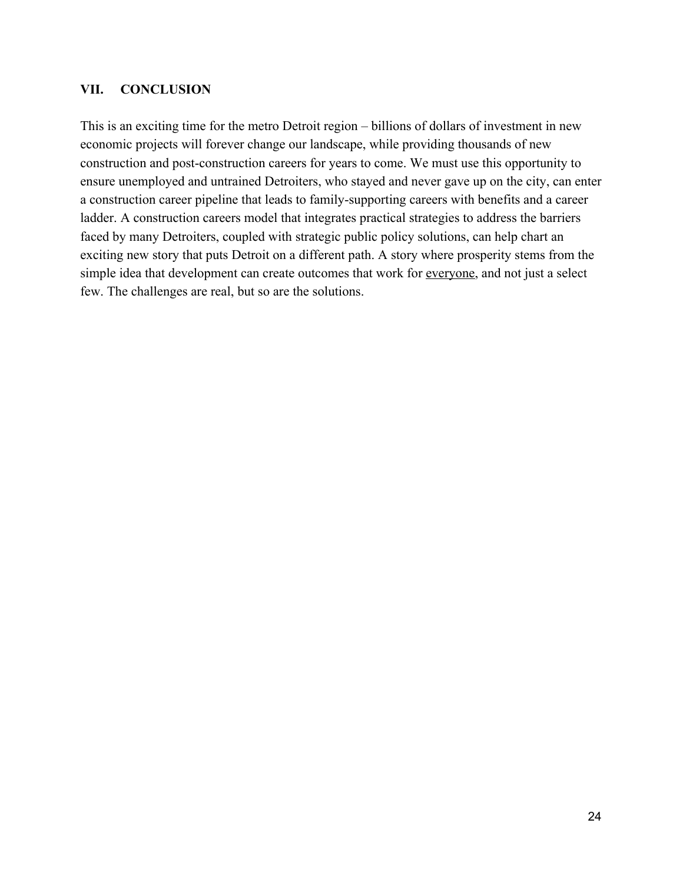#### **VII. CONCLUSION**

This is an exciting time for the metro Detroit region – billions of dollars of investment in new economic projects will forever change our landscape, while providing thousands of new construction and post-construction careers for years to come. We must use this opportunity to ensure unemployed and untrained Detroiters, who stayed and never gave up on the city, can enter a construction career pipeline that leads to family-supporting careers with benefits and a career ladder. A construction careers model that integrates practical strategies to address the barriers faced by many Detroiters, coupled with strategic public policy solutions, can help chart an exciting new story that puts Detroit on a different path. A story where prosperity stems from the simple idea that development can create outcomes that work for everyone, and not just a select few. The challenges are real, but so are the solutions.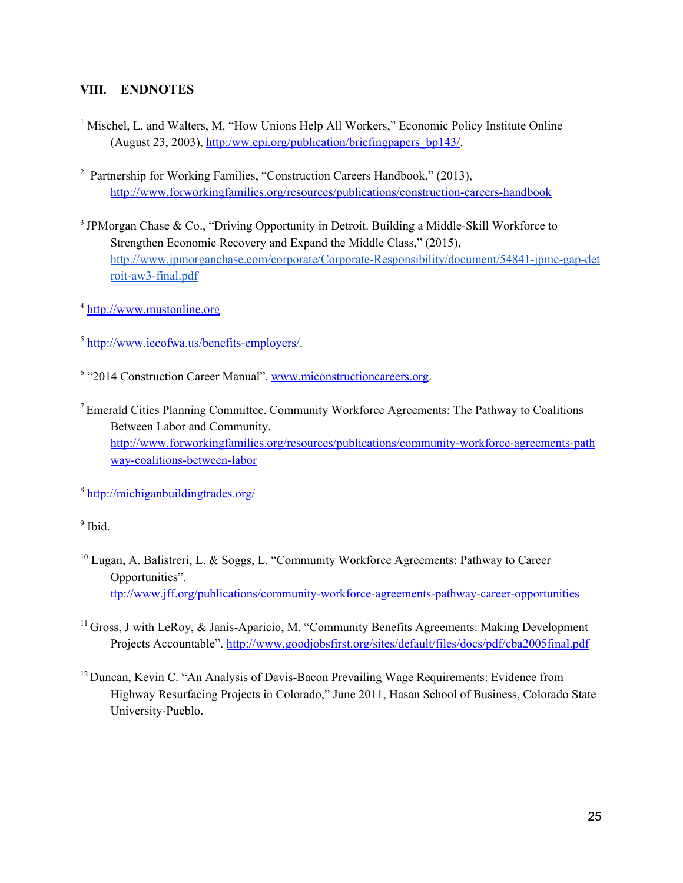#### **VIII. ENDNOTES**

- <sup>1</sup> Mischel, L. and Walters, M. "How Unions Help All Workers," Economic Policy Institute Online (August 23, 2003), [http:/ww.epi.org/publication/briefingpapers\\_bp143/.](http://www.epi.org/publication/briefingpapers_bp143/)
- <sup>2</sup> Partnership for Working Families[,](http://www.forworkingfamilies.org/resources/publications/construction-careers-handbook) "Construction Careers Handbook," (2013), http://www.forworkingfamilies.org/resources/publications/construction-careers-handbook
- $3$  JPMorgan Chase & Co., "Driving Opportunity in Detroit. Building a Middle-Skill Workforce to Strengthen Economic Recovery and Expand the Middle Class," (2015), http://www.jpmorganchase.com/corporate/Corporate-Responsibility/document/54841-jpmc-gap-det roit-aw3-final.pdf
- <sup>4</sup> [http://www.mustonline.org](http://www.mustonline.org/)
- $<sup>5</sup>$  http://www.iecofwa.us/benefits-employers/.</sup>
- <sup>6</sup> "2014 Construction Career Manual"[.](http://www.miconstructioncareers.org/) [www.miconstructioncareers.org.](http://www.miconstructioncareers.org/)
- <sup>7</sup>Emerald Cities Planning Committee. Community Workforce Agreements: The Pathway to Coalitions Between Labor and Community[.](http://www.forworkingfamilies.org/resources/publications/community-workforce-agreements-pathway-coalitions-between-labor) http://www.forworkingfamilies.org/resources/publications/community-workforce-agreements-nath way-coalitions-between-labor
- <sup>8</sup> <http://michiganbuildingtrades.org/>

#### <sup>9</sup> [Ibid.](http://michiganbuildingtrades.org/)

- <sup>10</sup> Lugan, A. Balistreri, L. & Soggs, L. "Community Workforce Agreements: Pathway to Career Opportunities"[.](http://www.jff.org/publications/community-workforce-agreements-pathway-career-opportunities) ttp://www.jff.org/publications/community-workforce-agreements-pathway-career-opportunities
- $11$  Gross, J with LeRoy,  $\&$  Janis-Aparicio, M. "Community Benefits Agreements: Making Development Projects Accountable"[.](http://www.goodjobsfirst.org/sites/default/files/docs/pdf/cba2005final.pdf) <http://www.goodjobsfirst.org/sites/default/files/docs/pdf/cba2005final.pdf>
- <sup>12</sup> Duncan, Kevin C. "An Analysis of Davis-Bacon Prevailing Wage Requirements: Evidence from Highway Resurfacing Projects in Colorado," June 2011, Hasan School of Business, Colorado State University-Pueblo.